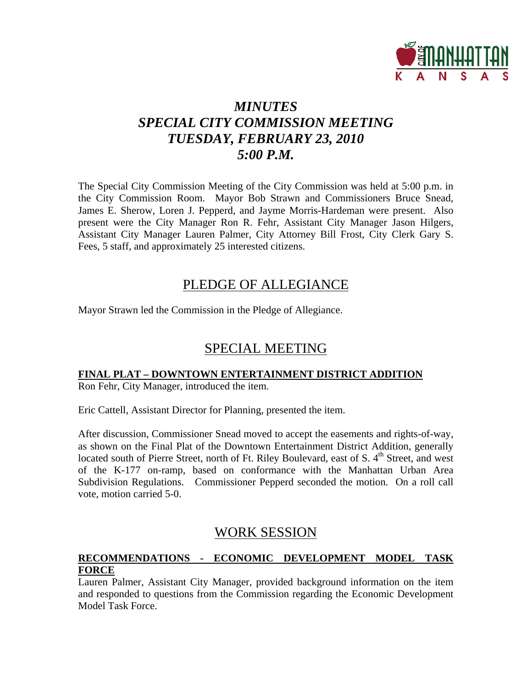

# *MINUTES SPECIAL CITY COMMISSION MEETING TUESDAY, FEBRUARY 23, 2010 5:00 P.M.*

The Special City Commission Meeting of the City Commission was held at 5:00 p.m. in the City Commission Room. Mayor Bob Strawn and Commissioners Bruce Snead, James E. Sherow, Loren J. Pepperd, and Jayme Morris-Hardeman were present. Also present were the City Manager Ron R. Fehr, Assistant City Manager Jason Hilgers, Assistant City Manager Lauren Palmer, City Attorney Bill Frost, City Clerk Gary S. Fees, 5 staff, and approximately 25 interested citizens.

## PLEDGE OF ALLEGIANCE

Mayor Strawn led the Commission in the Pledge of Allegiance.

## SPECIAL MEETING

## **FINAL PLAT – DOWNTOWN ENTERTAINMENT DISTRICT ADDITION**

Ron Fehr, City Manager, introduced the item.

Eric Cattell, Assistant Director for Planning, presented the item.

After discussion, Commissioner Snead moved to accept the easements and rights-of-way, as shown on the Final Plat of the Downtown Entertainment District Addition, generally located south of Pierre Street, north of Ft. Riley Boulevard, east of S.  $4<sup>th</sup>$  Street, and west of the K-177 on-ramp, based on conformance with the Manhattan Urban Area Subdivision Regulations.Commissioner Pepperd seconded the motion. On a roll call vote, motion carried 5-0.

## WORK SESSION

## **RECOMMENDATIONS - ECONOMIC DEVELOPMENT MODEL TASK FORCE**

Lauren Palmer, Assistant City Manager, provided background information on the item and responded to questions from the Commission regarding the Economic Development Model Task Force.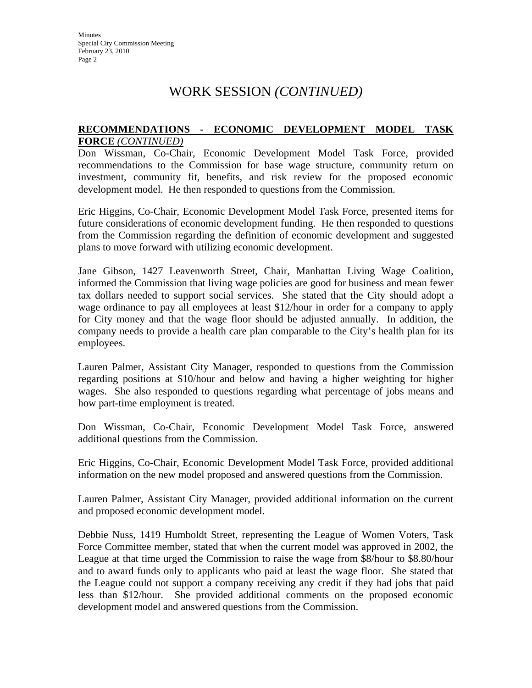## WORK SESSION *(CONTINUED)*

#### **RECOMMENDATIONS - ECONOMIC DEVELOPMENT MODEL TASK FORCE** *(CONTINUED)*

Don Wissman, Co-Chair, Economic Development Model Task Force, provided recommendations to the Commission for base wage structure, community return on investment, community fit, benefits, and risk review for the proposed economic development model. He then responded to questions from the Commission.

Eric Higgins, Co-Chair, Economic Development Model Task Force, presented items for future considerations of economic development funding. He then responded to questions from the Commission regarding the definition of economic development and suggested plans to move forward with utilizing economic development.

Jane Gibson, 1427 Leavenworth Street, Chair, Manhattan Living Wage Coalition, informed the Commission that living wage policies are good for business and mean fewer tax dollars needed to support social services. She stated that the City should adopt a wage ordinance to pay all employees at least \$12/hour in order for a company to apply for City money and that the wage floor should be adjusted annually. In addition, the company needs to provide a health care plan comparable to the City's health plan for its employees.

Lauren Palmer, Assistant City Manager, responded to questions from the Commission regarding positions at \$10/hour and below and having a higher weighting for higher wages. She also responded to questions regarding what percentage of jobs means and how part-time employment is treated.

Don Wissman, Co-Chair, Economic Development Model Task Force, answered additional questions from the Commission.

Eric Higgins, Co-Chair, Economic Development Model Task Force, provided additional information on the new model proposed and answered questions from the Commission.

Lauren Palmer, Assistant City Manager, provided additional information on the current and proposed economic development model.

Debbie Nuss, 1419 Humboldt Street, representing the League of Women Voters, Task Force Committee member, stated that when the current model was approved in 2002, the League at that time urged the Commission to raise the wage from \$8/hour to \$8.80/hour and to award funds only to applicants who paid at least the wage floor. She stated that the League could not support a company receiving any credit if they had jobs that paid less than \$12/hour. She provided additional comments on the proposed economic development model and answered questions from the Commission.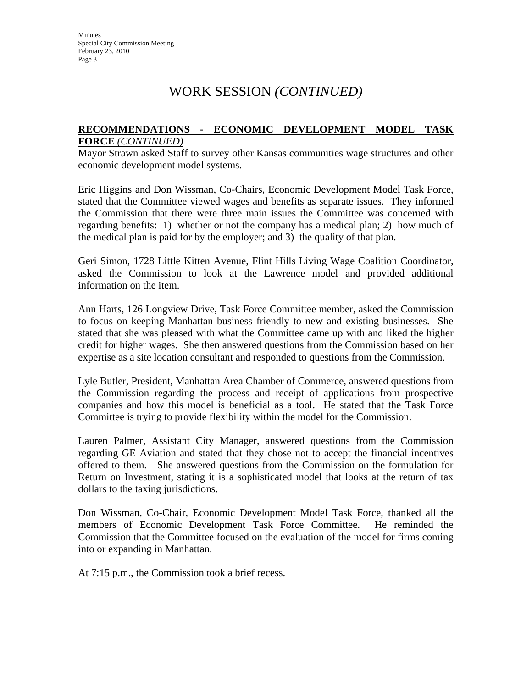# WORK SESSION *(CONTINUED)*

## **RECOMMENDATIONS - ECONOMIC DEVELOPMENT MODEL TASK FORCE** *(CONTINUED)*

Mayor Strawn asked Staff to survey other Kansas communities wage structures and other economic development model systems.

Eric Higgins and Don Wissman, Co-Chairs, Economic Development Model Task Force, stated that the Committee viewed wages and benefits as separate issues. They informed the Commission that there were three main issues the Committee was concerned with regarding benefits: 1) whether or not the company has a medical plan; 2) how much of the medical plan is paid for by the employer; and 3) the quality of that plan.

Geri Simon, 1728 Little Kitten Avenue, Flint Hills Living Wage Coalition Coordinator, asked the Commission to look at the Lawrence model and provided additional information on the item.

Ann Harts, 126 Longview Drive, Task Force Committee member, asked the Commission to focus on keeping Manhattan business friendly to new and existing businesses. She stated that she was pleased with what the Committee came up with and liked the higher credit for higher wages. She then answered questions from the Commission based on her expertise as a site location consultant and responded to questions from the Commission.

Lyle Butler, President, Manhattan Area Chamber of Commerce, answered questions from the Commission regarding the process and receipt of applications from prospective companies and how this model is beneficial as a tool. He stated that the Task Force Committee is trying to provide flexibility within the model for the Commission.

Lauren Palmer, Assistant City Manager, answered questions from the Commission regarding GE Aviation and stated that they chose not to accept the financial incentives offered to them. She answered questions from the Commission on the formulation for Return on Investment, stating it is a sophisticated model that looks at the return of tax dollars to the taxing jurisdictions.

Don Wissman, Co-Chair, Economic Development Model Task Force, thanked all the members of Economic Development Task Force Committee. He reminded the Commission that the Committee focused on the evaluation of the model for firms coming into or expanding in Manhattan.

At 7:15 p.m., the Commission took a brief recess.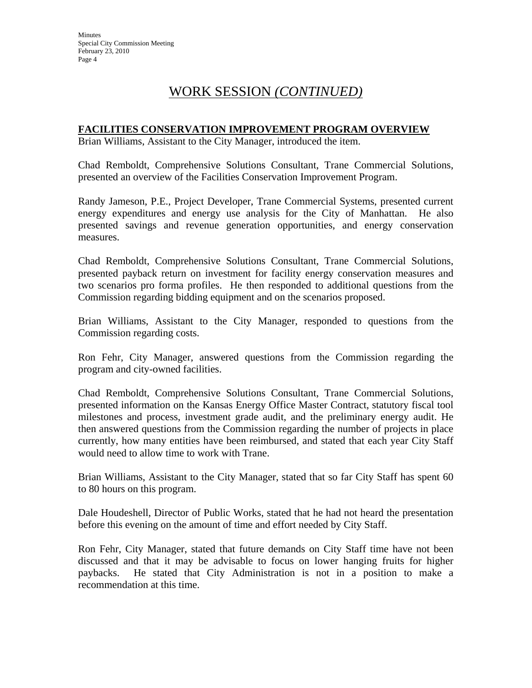# WORK SESSION *(CONTINUED)*

## **FACILITIES CONSERVATION IMPROVEMENT PROGRAM OVERVIEW**

Brian Williams, Assistant to the City Manager, introduced the item.

Chad Remboldt, Comprehensive Solutions Consultant, Trane Commercial Solutions, presented an overview of the Facilities Conservation Improvement Program.

Randy Jameson, P.E., Project Developer, Trane Commercial Systems, presented current energy expenditures and energy use analysis for the City of Manhattan. He also presented savings and revenue generation opportunities, and energy conservation measures.

Chad Remboldt, Comprehensive Solutions Consultant, Trane Commercial Solutions, presented payback return on investment for facility energy conservation measures and two scenarios pro forma profiles. He then responded to additional questions from the Commission regarding bidding equipment and on the scenarios proposed.

Brian Williams, Assistant to the City Manager, responded to questions from the Commission regarding costs.

Ron Fehr, City Manager, answered questions from the Commission regarding the program and city-owned facilities.

Chad Remboldt, Comprehensive Solutions Consultant, Trane Commercial Solutions, presented information on the Kansas Energy Office Master Contract, statutory fiscal tool milestones and process, investment grade audit, and the preliminary energy audit. He then answered questions from the Commission regarding the number of projects in place currently, how many entities have been reimbursed, and stated that each year City Staff would need to allow time to work with Trane.

Brian Williams, Assistant to the City Manager, stated that so far City Staff has spent 60 to 80 hours on this program.

Dale Houdeshell, Director of Public Works, stated that he had not heard the presentation before this evening on the amount of time and effort needed by City Staff.

Ron Fehr, City Manager, stated that future demands on City Staff time have not been discussed and that it may be advisable to focus on lower hanging fruits for higher paybacks. He stated that City Administration is not in a position to make a recommendation at this time.